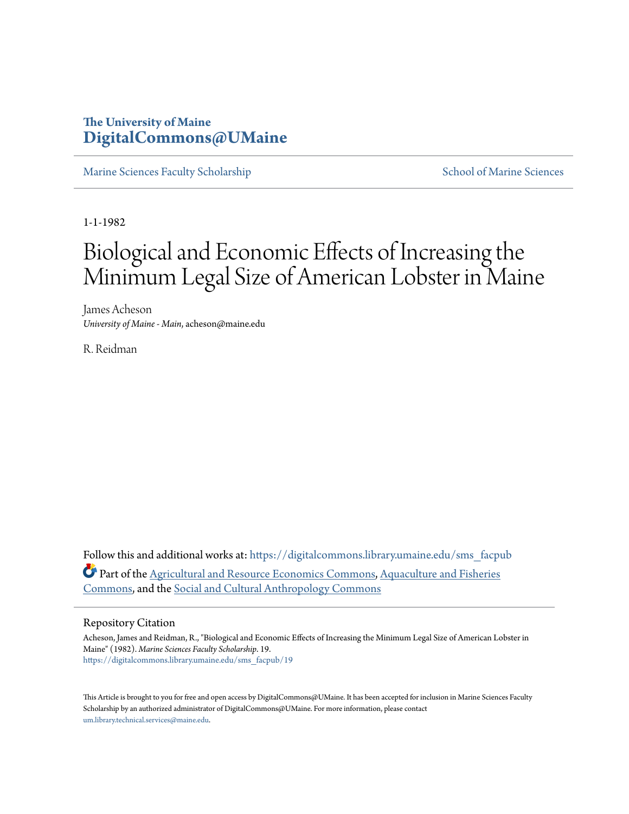# **The University of Maine [DigitalCommons@UMaine](https://digitalcommons.library.umaine.edu?utm_source=digitalcommons.library.umaine.edu%2Fsms_facpub%2F19&utm_medium=PDF&utm_campaign=PDFCoverPages)**

[Marine Sciences Faculty Scholarship](https://digitalcommons.library.umaine.edu/sms_facpub?utm_source=digitalcommons.library.umaine.edu%2Fsms_facpub%2F19&utm_medium=PDF&utm_campaign=PDFCoverPages) [School of Marine Sciences](https://digitalcommons.library.umaine.edu/sms?utm_source=digitalcommons.library.umaine.edu%2Fsms_facpub%2F19&utm_medium=PDF&utm_campaign=PDFCoverPages)

1-1-1982

# Biological and Economic Effects of Increasing the Minimum Legal Size of American Lobster in Maine

James Acheson *University of Maine - Main*, acheson@maine.edu

R. Reidman

Follow this and additional works at: [https://digitalcommons.library.umaine.edu/sms\\_facpub](https://digitalcommons.library.umaine.edu/sms_facpub?utm_source=digitalcommons.library.umaine.edu%2Fsms_facpub%2F19&utm_medium=PDF&utm_campaign=PDFCoverPages) Part of the [Agricultural and Resource Economics Commons](http://network.bepress.com/hgg/discipline/317?utm_source=digitalcommons.library.umaine.edu%2Fsms_facpub%2F19&utm_medium=PDF&utm_campaign=PDFCoverPages), [Aquaculture and Fisheries](http://network.bepress.com/hgg/discipline/78?utm_source=digitalcommons.library.umaine.edu%2Fsms_facpub%2F19&utm_medium=PDF&utm_campaign=PDFCoverPages) [Commons,](http://network.bepress.com/hgg/discipline/78?utm_source=digitalcommons.library.umaine.edu%2Fsms_facpub%2F19&utm_medium=PDF&utm_campaign=PDFCoverPages) and the [Social and Cultural Anthropology Commons](http://network.bepress.com/hgg/discipline/323?utm_source=digitalcommons.library.umaine.edu%2Fsms_facpub%2F19&utm_medium=PDF&utm_campaign=PDFCoverPages)

## Repository Citation

Acheson, James and Reidman, R., "Biological and Economic Effects of Increasing the Minimum Legal Size of American Lobster in Maine" (1982). *Marine Sciences Faculty Scholarship*. 19. [https://digitalcommons.library.umaine.edu/sms\\_facpub/19](https://digitalcommons.library.umaine.edu/sms_facpub/19?utm_source=digitalcommons.library.umaine.edu%2Fsms_facpub%2F19&utm_medium=PDF&utm_campaign=PDFCoverPages)

This Article is brought to you for free and open access by DigitalCommons@UMaine. It has been accepted for inclusion in Marine Sciences Faculty Scholarship by an authorized administrator of DigitalCommons@UMaine. For more information, please contact [um.library.technical.services@maine.edu](mailto:um.library.technical.services@maine.edu).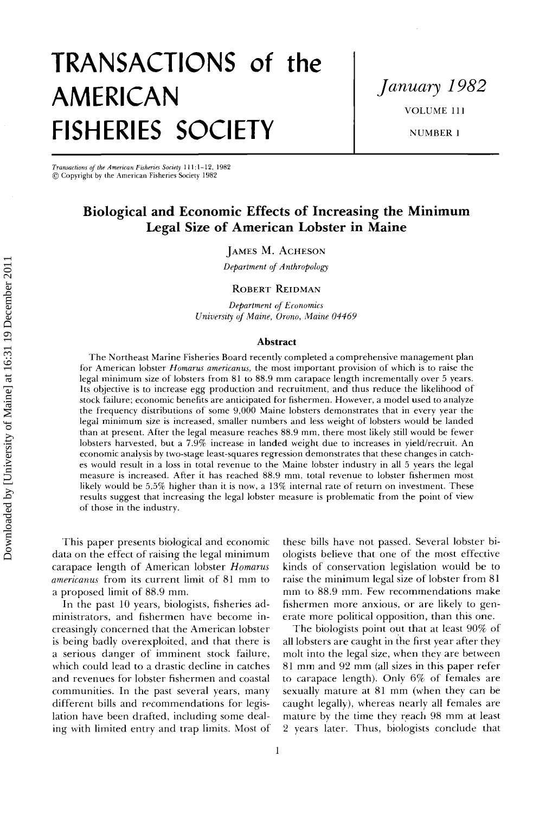# **TRANSACTIONS of the AMERICAN FISHERIES SOCIETY**

**January 1982 VOLUME 111** 

**NUMBER 1** 

**Transactions of the American F•sher•es Society 1l 1:1-12, 1982 ¸ Copyright by the American Fisheries Society' 1982** 

# **Biological and Economic Effects of Increasing the Minimum Legal Size of American Lobster in Maine**

### **JAMES M. ACHESON**

**Department of Anthropology** 

#### **ROBERT REIDMAN**

**Department of Economics University of Maine, Orono, Maine 04469** 

#### **Abstract**

**The Northeast Marine Fisheries Board recently completed a comprehensive management plan**  for American lobster *Homarus americanus*, the most important provision of which is to raise the **legal minimum size of lobsters from 81 to 88.9 mm carapace length incrementally over 5 years. Its objective is to increase egg production and recruitment, and thus reduce the likelihood of stock thilure; economic benefits are anticipated for fishermen. However, a model used to analyze the frequency distributions of some 9,000 Maine lobsters demonstrates that in every year the legal minimum size is increased, smaller numbers and less weight of lobsters would be landed than at present. After the legal measure reaches 88.9 mm, there most likely still would be fewer lobsters harvested, but a 7.9% increase in landed weight due to increases in yield/recruit. An economic analysis by two-stage least-squares regression demonstrates that these changes in catches would result in a loss in total revenue to the Maine lobster industry in all 5 years the legal measure is increased. After it has reached 88.9 mm, total revenue to lobster fishermen most likely would be 5.5% higher than it is now, a 13% internal rate of return on investment. These results suggest that increasing the legal lobster measure is problematic from the point of view of those in the industry.** 

**This paper presents biological and economic data on the effect of raising the legal minimum carapace length of American lobster Homarus americanus from its current limit of 81 mm to a proposed limit of 88.9 mm.** 

**In the past 10 years, biologists, fisheries administrators, and fishermen have become increasingly concerned that the American lobster is being badly overexploited, and that there is a serious danger of' imminent stock failure, which could lead to a drastic decline in catches and revenues for lobster fishermen and coastal communities. In the past several years, many different bills and recommendations for legislation have been drafted, including some deal**ing with limited entry and trap limits. Most of **these bills have not passed. Several lobster biologists believe that one of the most effective kinds of conservation legislation would be to raise the minimum legal size of lobster from 81 mm to 88.9 mm. Few recommendations make fishermen more anxious, or are likely to generate more political opposition, than this one.** 

**The biologists point out that at least 90% of all lobsters are caught in {he first year after they molt into the legal size, when they are between 81 mm and 92 mm (all sizes in this paper refer to carapace length). Only 6% of females are sexually mature at 81 mm (when they can be caught legally), whereas nearly all females are**  mature by the time they reach 98 mm at least **2 years later. Thus, biologists conclude that**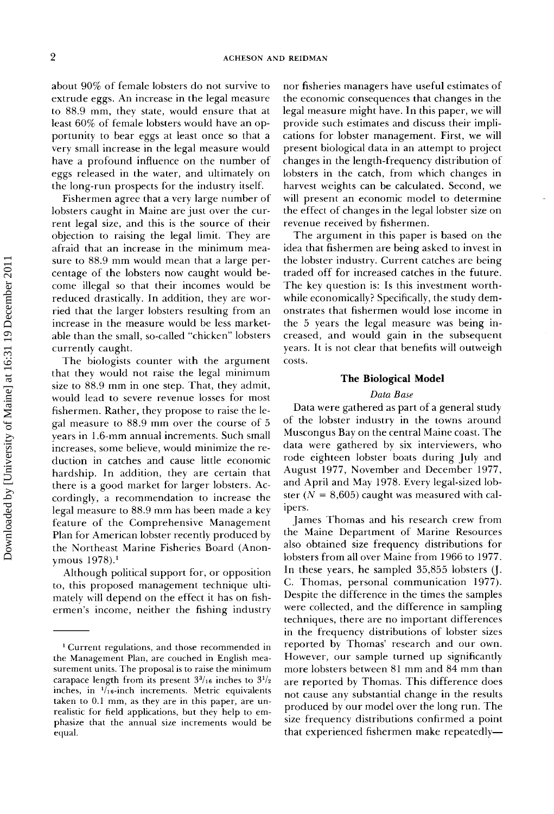**about 90% of female lobsters do not survive to extrude eggs. An increase in the legal measure**  to 88.9 mm, they state, would ensure that at **least 60% of female lobsters would have an opportunity to bear eggs at least once so that a very small increase in the legal measure would have a profound influence on the number of eggs released in the water, and ultimately on the long-run prospects for the industry itself.** 

**Fishermen agree that a very large number of lobsters caught in Maine are just over the current legal size, and this is the source of their objection to raising the legal limit. They are afraid that an increase in the minimum measure to 88.9 mm would mean that a large percentage of the lobsters now caught would become illegal so that their incomes would be reduced drastically. In addition, they are worried that the larger lobsters resulting from an increase in the measure would be less marketable than the small, so-called "chicken" lobsters currently caught.** 

**The biologists counter with the argument that they would not raise the legal minimum size to 88.9 mm in one step. That, they admit, would lead to severe revenue losses for most fishermen. Rather, they propose to raise the legal measure to 88.9 mm over the course of 5 years in 1.6-ram annual increments. Such small increases, some believe, would minimize the reduction in catches and cause little economic hardship. In addition, they are certain that there is a good market for larger lobsters. Accordingly, a recommendation to increase the legal measure to 88.9 mm has been made a key feature of the Comprehensive Management Plan for American lobster recently produced by the Northeast Marine Fisheries Board (Anonymous 1978)?** 

**Although political support for, or opposition**  to, this proposed management technique ulti**mately will depend on the effect it has on fishermen's income, neither the fishing industry** 

**nor fisheries managers have useful estimates of the economic consequences that changes in the legal measure might have. In this paper, we will provide such estimates and discuss their implications for lobster management. First, we will present biological data in an attempt to project changes in the length-frequency distribution of lobsters in the catch, from which changes in harvest weights can be calculated. Second, we will present an economic model to determine the effect of changes in the legal lobster size on revenue received by fishermen.** 

**The argument in this paper is based on the idea that fishermen are being asked to invest in the lobster industry. Current catches are being traded off for increased catches in the future. The key question is: Is this investment worthwhile economically? Specifically, the study demonstrates that fishermen would lose income in the 5 years the legal measure was being increased, and would gain in the subsequent years. It is not clear that benefits will outweigh costs.** 

#### **The Biological Model**

#### **Data Base**

**Data were gathered as part of a general study of the lobster industry in the towns around Muscongus Bay on the central Maine coast. The data were gathered by six interviewers, who rode eighteen lobster boats during July and August 1977, November and December 1977, and April and May 1978. Every legal-sized lob**ster  $(N = 8,605)$  caught was measured with cal**ipers.** 

**James Thomas and his research crew from the Maine Department of Marine Resources also obtained size frequency distributions for lobsters from all over Maine from 1966 to 1977.**  In these years, he sampled 35,855 lobsters (J. **C. Thomas, personal communication 1977). Despite the difference in the times the samples were collected, and the difference in sampling techniques, there are no important differences in the frequency distributions of lobster sizes reported by Thomas' research and our own. However, our sample turned up significantly more lobsters between 81 mm and 84 mm than are reported by Thomas. This difference does not cause any substantial change in the results produced by our model over the long run. The size frequency distributions confirmed a point that experienced fishermen make repeatedly--** 

**<sup>•</sup> Current regulations, and those recommended in the Management Plan, are couched in English measurement units. The proposal is to raise the minimum**  carapace length from its present  $3^{3}/_{16}$  inches to  $3^{1}/_{2}$ **inches, in V16-inch increments. Metric equivalents**  taken to 0.1 mm, as they are in this paper, are unrealistic for field applications, but they help to em**phasize that the annual size increments would be equal.**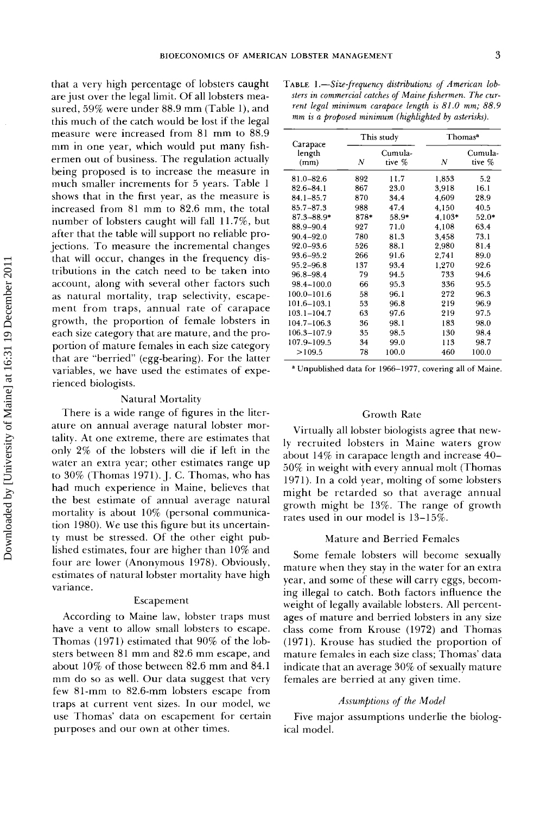**that a very high percentage of lobsters caught are just over the legal limit. Of all lobsters measured, 59% were under 88.9 mm (Table 1), and this much of the catch would be lost if the legal measure were increased from 81 mm to 88.9 mm in one year, which would put many fishermen out of business. The regulation actually being proposed is to increase the measure in much smaller increments for 5 years. Table 1 shows that in the first year, as the measure is increased from 81 mm to 82.6 mm, the total number of lobsters caught will fall 11.7%, but after that the table will support no reliable projections. To measure the incremental changes that will occur, changes in the frequency distributions in the catch need to be taken into account, along with several other factors such as natural mortality, trap selectivity, escapement from traps, annual rate of carapace growth, the proportion of female lobsters in each size category that are mature, and the proportion of mature females in each size category that are "berried" (egg-bearing). For the latter variables, we have used the estimates of experienced biologists.** 

#### **Natural Mortality**

**There is a wide range of figures in the literature on annual average natural lobster mortality. At one extreme, there are estimates that only 2% of the lobsters will die if left in the water an extra year; other estimates range up to 30% (Thomas 1971). J. C. Thomas, who has had much experience in Maine, believes that the best estimate of annual average natural mortality is about 10% (personal communication 1980). We use this figure but its uncertainty must be stressed. Of the other eight published estimates, four are higher than 10% and four are lower (Anonymous 1978). Obviously, estimates of natural lobster mortality have high variance.** 

#### **Escapement**

**According to Maine law, lobster traps must have a vent to allow small lobsters to escape. Thomas (1971) estimated that 90% of the lobsters between 81 mm and 82.6 mm escape, and about 10% of those between 82.6 mm and 84.1 mm do so as well. Our data suggest that very few 81-mm to 82.6-mm lobsters escape from traps at current vent sizes. In our model, we use Thomas' data on escapement for certain purposes and our own at other times.** 

**TABLE 1.**—Size-frequency distributions of American lob**sters in commercial catches of Maine fishermen. The current legal minimum carapace length is 81.0 mm; 88.9 mm is a proposed minimum (highlighted by asterisks).** 

| Carapace        |      | This study        | Thomas <sup>a</sup> |                   |  |
|-----------------|------|-------------------|---------------------|-------------------|--|
| length<br>(mm)  | Ν    | Cumula-<br>tive % | Ν                   | Cumula-<br>tive % |  |
| 81.0-82.6       | 892  | 11.7              | 1.853               | 5.2               |  |
| 82.6–84.1       | 867  | 23.0              | 3.918               | 16.1              |  |
| $84.1 - 85.7$   | 870  | 34.4              | 4609                | 28.9              |  |
| 85.7-87.3       | 988  | 47.4              | 4,150               | 40.5              |  |
| $87.3 - 88.9*$  | 878* | 58.9*             | $4,103*$            | $52.0*$           |  |
| 88.9–90.4       | 927  | 71.0              | 4.108               | 63.4              |  |
| $90.4 - 92.0$   | 780  | 81.3              | 3.458               | 73.1              |  |
| $92.0 - 93.6$   | 526  | 88.1              | 2.980               | 81.4              |  |
| 93.6–95.2       | 266  | 91.6              | 2.741               | 89.0              |  |
| $95.2 - 96.8$   | 137  | 93.4              | 1,270               | 92.6              |  |
| 96.8-98.4       | 79   | 94.5              | 733                 | 94.6              |  |
| 98.4-100.0      | 66   | 95.3              | 336                 | 95.5              |  |
| $100.0 - 101.6$ | 58   | 96.1              | 272                 | 96.3              |  |
| 101.6–103.1     | 53   | 96.8              | 219                 | 96.9              |  |
| $103.1 - 104.7$ | 63   | 97.6              | 219                 | 97.5              |  |
| $104.7 - 106.3$ | 36   | 98.1              | 183                 | 98.0              |  |
| 106.3-107.9     | 35   | 98.5              | 130                 | 98.4              |  |
| 107.9-109.5     | 34   | 99.0              | 113                 | 98.7              |  |
| >109.5          | 78   | 100.0             | 460                 | 100.0             |  |

**Unpublished data for 1966-1977, covering all of Maine.** 

#### **Growth Rate**

**Virtually all lobster biologists agree that newly recruited lobsters in Maine waters grow about 14% in carapace length and increase 40- 50% in weight with every annual molt (Thomas 1971). In a cold year, molting of some lobsters might be retarded so that average annual growth might be 13%. The range of growth rates used in our model is 13-15%.** 

#### **Mature and Berried Females**

**Some female lobsters will become sexually mature when they stay in the water for an extra year, and some of these will carry eggs, becoming illegal to catch. Both factors influence the weight of legally available lobsters. All percentages of mature and berried lobsters in any size class come from Krouse (1972) and Thomas (1971). Krouse has studied the proportion of mature females in each size class; Thomas' data indicate that an average 30% of sexually mature**  females are berried at any given time.

#### **Assumptions of the Model**

**Five major assumptions underlie the biological model.**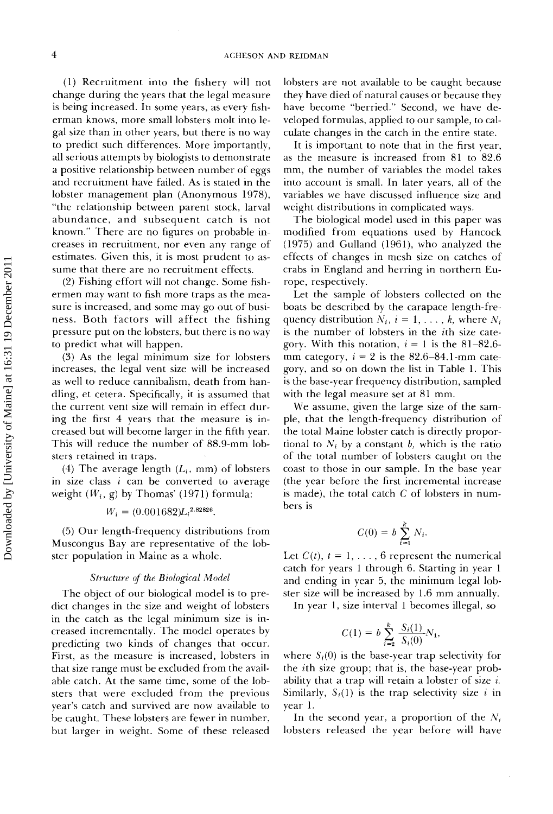**(1) Recruitment into the fishery will not change during the years that the legal measure is being increased. In some years, as every fisherman knows, more small lobsters molt into legal size than in other years, but there is no way to predict such differences. More importantly, all serious attempts by biologists to demonstrate a positive relationship between number of eggs and recruitment have failed. As is stated in the lobster management plan (Anonymous 1978), "the relationship between parent stock, larval abundance, and subsequent catch is not known." There are no figures on probable increases in recrukment, nor even any range of estimates. Given this, it is most prudent to assume that there are no recruitment effects.** 

(2) Fishing effort will not change. Some fish**ermen may want to fish more traps as the measure is increased, and some may go out of business. Both factors will affect the fishing pressure put on the lobsters, but there is no way to predict what will happen.** 

**(3) As the legal minimum size for lobsters increases, the legal vent size will be increased as well to reduce cannibalism, death from handling, et cetera. Specifically, it is assumed that**  the current vent size will remain in effect dur**ing the first 4 years that the measure is increased but will become larger in the fifth year. This will reduce the number of 88.9-mm lobsters retained in traps.** 

(4) The average length  $(L_i, \text{mm})$  of lobsters **in size class i can be converted to average**  weight  $(W_i, g)$  by Thomas' (1971) formula:

### $W_i = (0.001682)L_i^{2.82826}$

 $(5)$  Our length-frequency distributions from **Muscongus Bay are representative of the lobster population in Maine as a whole.** 

#### **Structure of the Biological Model**

**The object of our biological model is to predict changes in the size and weight of lobsters in the catch as the legal minimum size is increased incrementally. The model operates by predicting two kinds of changes that occur. First, as the measure is increased, lobsters in that size range must be excluded from the available catch. At the same time, some of the lobsters that were excluded from the previous year's catch and survived are now available to be caught. These lobsters are fewer in number, but larger in weight. Some of these released**  **lobsters are not available to be caught because they have died of natural causes or because they have become "berried." Second, we have developed formulas, applied to our sample, to calculate changes in the catch in the entire state.** 

**It is important to note that in the first year, as the measure is increased from 81 to 82.6 mm, the number of variables the model takes into account is small. In later years, all of the variables we have discussed influence size and weight distributions in complicated ways.** 

**The biological model used in this paper was •nodified from equations used by Hancock (1975) and Gulland (1961), who analyzed the effects of changes in mesh size on catches of crabs in England and herring in northern Europe, respectively.** 

**Let the sample of lobsters collected on the boats be described by the carapace length-fre**quency distribution  $N_i$ ,  $i = 1, \ldots, k$ , where  $N_i$ **is the number of lobsters in the ith size cate**gory. With this notation,  $i = 1$  is the 81-82.6mm category,  $i = 2$  is the  $82.6 - 84.1$ -mm cate**gory, and so on down the list in Table 1. This is the base-year frequency distribution, sampled with the legal measure set at 81 mm.** 

**We assume, given the large size of the sampie, that the length-frequency distribution of the total Maine lobster catch is directly propor**tional to  $N_i$  by a constant b, which is the ratio **of the total number of lobsters caught on the coast to those in our sample. In the base year (the year before the first incremental increase is made), the total catch C of lobsters in numbers is** 

$$
C(0) = b \sum_{i=1}^k N_i.
$$

Let  $C(t)$ ,  $t = 1, \ldots, 6$  represent the numerical **catch for years 1 through 6. Starting in year 1 and ending in year 5, the minimum legal lobster size will be increased by 1.6 mm annually.** 

**In year 1, size interval 1 becomes illegal, so** 

$$
C(1) = b \sum_{i=2}^{k} \frac{S_i(1)}{S_i(0)} N_1,
$$

where  $S_i(0)$  is the base-year trap selectivity for **the ith size group; that is, the base-year probability that a trap will retain a lobster of size i.**  Similarly,  $S_i(1)$  is the trap selectivity size i in **year 1.** 

In the second year, a proportion of the  $N_i$ **lobsters released the year before will have**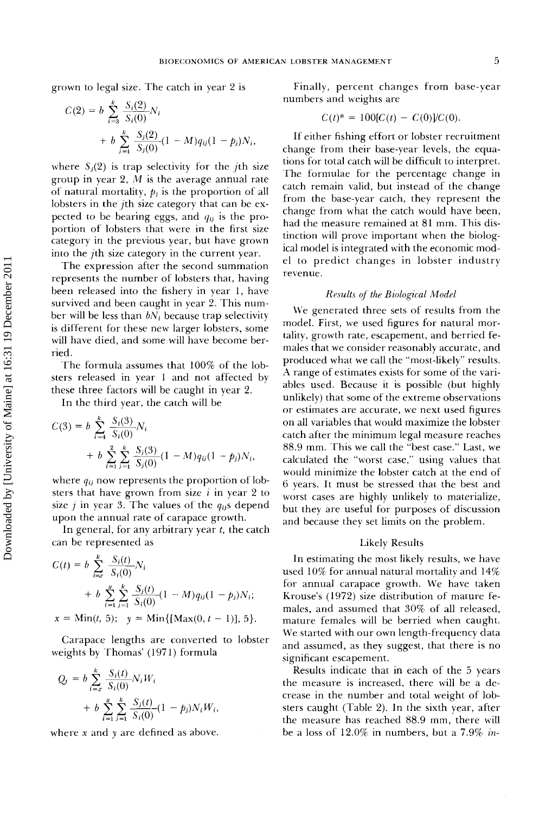**grown to legal size. The catch in year 2 is** 

$$
C(2) = b \sum_{i=3}^{K} \frac{S_i(2)}{S_i(0)} N_i
$$
  
+  $b \sum_{j=1}^{K} \frac{S_j(2)}{S_j(0)} (1 - M) q_{ij} (1 - p_j) N_i,$ 

where  $S_i(2)$  is trap selectivity for the *j*th size **group in year 2, M is the average annual rate**  of natural mortality,  $p_i$  is the proportion of all **lobsters in the jth size category that can be ex**pected to be bearing eggs, and  $q_{ij}$  is the pro**portion of lobsters that were in the first size category in the previous year, but have grown into the jth size category in the current year.** 

**The expression after the second summation represents the number of lobsters that, having been released into the fishery in year 1, have survived and been caught in year 2. This num**ber will be less than  $bN_i$  because trap selectivity is different for these new larger lobsters, some **will have died, and some will have become berried.** 

**The formula assumes that 100% of the lobsters released in year 1 and not affected by these three factors will be caught in year 2.** 

In the third year, the catch will be  $\frac{k}{\sqrt{2}}$ 

$$
C(3) = b \sum_{i=4}^{k} \frac{S_i(3)}{S_i(0)} N_i
$$
  
+  $b \sum_{i=1}^{2} \sum_{j=1}^{k} \frac{S_j(3)}{S_j(0)} (1 - M) q_{ij} (1 - p_j) N_i,$ 

where  $q_{ij}$  now represents the proportion of  $\text{lob-}$ sters that have grown from size  $i$  in year 2 to size  $j$  in year 3. The values of the  $q_{ij}$ s depend **upon the annual rate of carapace growth.** 

**In general, for any arbitrary year t, the catch can be represented as** 

$$
C(t) = b \sum_{i=x}^{k} \frac{S_i(t)}{S_i(0)} N_i
$$
  
+  $b \sum_{i=1}^{n} \sum_{j=1}^{k} \frac{S_j(t)}{S_i(0)} (1 - M) q_{ij} (1 - p_j) N_i;$   
 $x = \text{Min}(t, 5); \quad y = \text{Min}\{[\text{Max}(0, t - 1)], 5\}.$ 

**Carapace lengths are converted to lobster weights by Thomas' (1971) formula** 

$$
Q_{t} = b \sum_{i=x}^{k} \frac{S_{i}(t)}{S_{i}(0)} N_{i} W_{i}
$$
  
+  $b \sum_{i=1}^{y} \sum_{j=1}^{k} \frac{S_{j}(t)}{S_{i}(0)} (1 - p_{j}) N_{i} W_{i},$ 

**where x and y are defined as above.** 

**Finally, percent changes from base-year nmnbers and weights are** 

$$
C(t)^* = 100[C(t) - C(0)]/C(0).
$$

If either fishing effort or lobster recruitment change from their base-year levels, the equa**tions for total catch will be difficult to interpret. The formulae for the percentage change in catch remain valid, but instead of the change from the base-year catch, they represent the change from what the catch would have been,**  had the measure remained at 81 mm. This dis**tinction will prove important when the biological model is integrated with the economic model to predict changes in lobster industry revenue.** 

#### **Results of the Biological Model**

**We generated three sets of results from the**  model. First, we used figures for natural mortality, growth rate, escapement, and berried fe**males that we consider reasonably accurate, and produced what we call the "most-likely" results. A range of estimates exists for some of the variables used. Because it is possible (but highly unlikely) that some of' the extreme observations or estimates are accurate, we next used figures on all variables that would maximize the lobster catch after the minimum legal measure reaches 88.9 ram. This we call the "best case." Last, we calculated the "worst case," using values that would minimize the lobster catch at the end of 6 years. It must be stressed that the best and worst cases are highly unlikely to materialize, but they are useful for purposes of discussion and because they set limits on the problem.** 

#### **Likely Results**

**In estimating the most likely results, we have used 10% for annual natural mortality and 14% for annual carapace growth. We have taken Krouse's (1972) size distribution of mature females, and assumed that 30% of all released,**  mature females will be berried when caught. **We started with our own length-frequency data and assumed, as they suggest, that there is no significant escapement.** 

**Results indicate that in each of the 5 years the measure is increased, there will be a decrease in the number and total weight of lobsters caught (Table 2). In the sixth year, after**  the measure has reached 88.9 mm, there will **be a loss of 12.0% in numbers, but a 7.9% in-**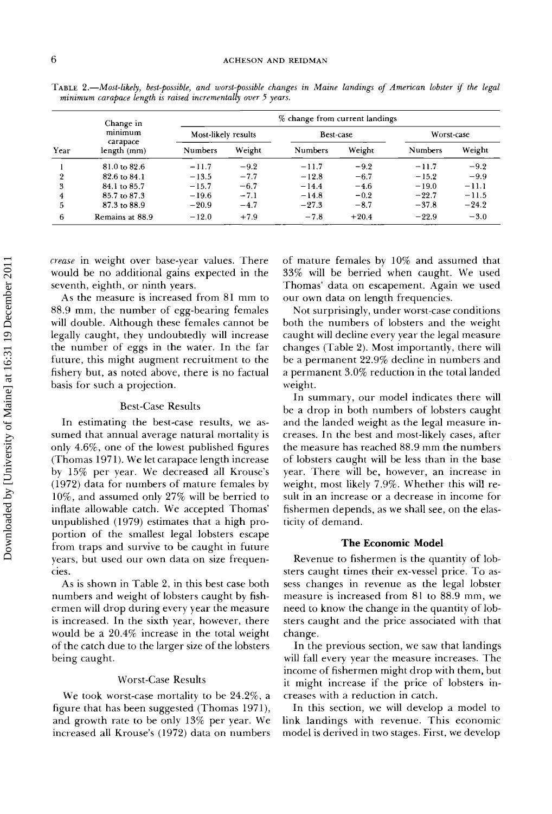| Change in<br>minimum |                         | % change from current landings |                  |                |            |                |         |
|----------------------|-------------------------|--------------------------------|------------------|----------------|------------|----------------|---------|
|                      | Most-likely results     |                                | <b>Best-case</b> |                | Worst-case |                |         |
| Year                 | carapace<br>length (mm) | Numbers                        | Weight           | <b>Numbers</b> | Weight     | <b>Numbers</b> | Weight  |
|                      | 81.0 to 82.6            | $-11.7$                        | $-9.2$           | $-11.7$        | $-9.2$     | $-11.7$        | $-9.2$  |
| $\overline{2}$       | 82.6 to 84.1            | $-13.5$                        | $-7.7$           | $-12.8$        | $-6.7$     | $-15.2$        | $-9.9$  |
| 3                    | 84.1 to 85.7            | $-15.7$                        | $-6.7$           | $-14.4$        | $-4.6$     | $-19.0$        | $-11.1$ |
| 4                    | 85.7 to 87.3            | $-19.6$                        | $-7.1$           | $-14.8$        | $-0.2$     | $-22.7$        | $-11.5$ |
| 5                    | 87.3 to 88.9            | $-20.9$                        | $-4.7$           | $-27.3$        | $-8.7$     | $-37.8$        | $-24.2$ |
| 6                    | Remains at 88.9         | $-12.0$                        | $+7.9$           | $-7.8$         | $+20.4$    | $-22.9$        | $-3.0$  |

TABLE 2.-Most-likely, best-possible, and worst-possible changes in Maine landings of American lobster if the legal **minimum carapace length is raised incrementally over 5 years.** 

**crease in weight over base-year values. There would be no additional gains expected in the seventh, eighth, or ninth years.** 

**As the measure is increased from 81 mm to**  88.9 mm, the number of egg-bearing females **will double. Although these females cannot be legally caught, they undoubtedly will increase the number of eggs in the water. In the far future, this might augment recruitment to the fishery but, as noted above, there is no factual**  basis for such a projection.

#### **Best-Gase Results**

**In estimating the best-case results, we assumed that annual average natural mortality is only 4.6%, one of the lowest published figures (Thomas 1971). We let carapace length increase by 15% per year. We decreased all Krouse's (1972) data for numbers of mature females by 10%, and assumed only 27% will be berried to inflate allowable catch. We accepted Thomas' unpublished (1979) estimates that a high proportion of the smallest legal lobsters escape from traps and survive to be caught in future years, but used our own data on size frequencies.** 

**As is shown in Table 2, in this best case both numbers and weight of lobsters caught by fishermen will drop during every year the measure is increased. In the sixth year, however, there would be a 20.4% increase in the total weight of the catch due to the larger size of the lobsters being caught.** 

#### **Worst-Gase Results**

**We took worst-case mortality to be 24.2%, a figure that has been suggested (Thomas 1971), and growth rate to be only 13% per year. We increased all Krouse's (1972) data on numbers** 

**of mature females by 10% and assumed that 33% will be berried when caught, We used Thomas' data on escapement. Again we used our own data on length frequencies.** 

**Not surprisingly, under worst-case conditions both the numbers of lobsters and the weight caught will decline every year the legal measure changes (Table 2). Most importantly, there will be a permanent 22.9% decline in numbers and a permanent 3.0% reduction in the total landed weight.** 

**In summary, our model indicates there will be a drop in both numbers of lobsters caught and the landed weight as the legal measure increases. In the best and most-likely cases, after the measure has reached 88.9 mm the numbers of lobsters caught will be less than in the base year. There will be, however, an increase in weight, most likely 7.9%. Whether this will result in an increase or a decrease in income for fishermen depends, as we shall see, on the elasticity of demand.** 

#### **The Economic Model**

**Revenue to fishermen is the quantity of lobsters caught times their ex-vessel price. To assess changes in revenue as the legal lobster measure is increased from 81 to 88.9 mm, we need to know the change in the quantity of lobsters caught and the price associated with that change.** 

**In the previous section, we saw that landings will fall every year the measure increases. The income of fishermen might drop with them, but it might increase if the price of lobsters increases with a reduction in catch.** 

**In this section, we will develop a model to link landings with revenue. This economic model is derived in two stages. First, we develop**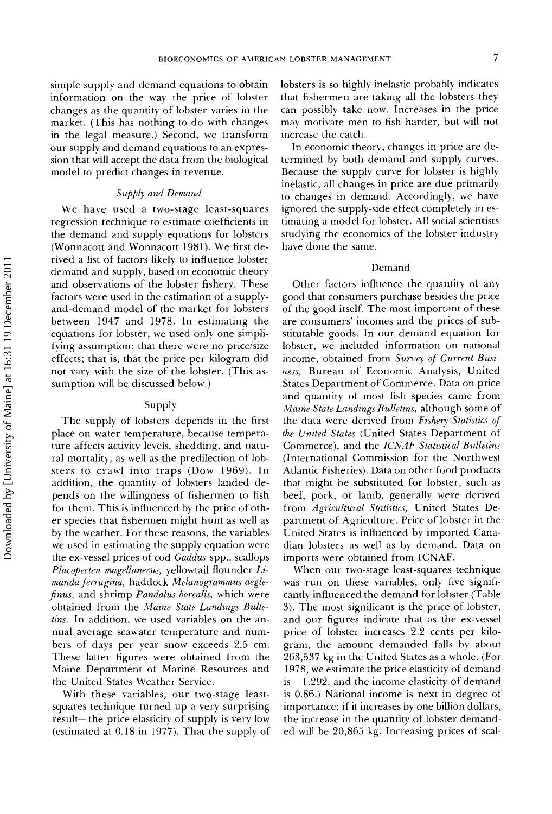**simple supply and demand equations to obtain information on the way the price of lobster changes as the quantity of lobster varies in the market. (This has nothing to do with changes in the legal measure.) Second, we transform our supply and demand equations to an expres**sion that will accept the data from the biological **model to predict changes in revenue.** 

#### **Supply and Demand**

**We have used a two-stage least-squares regression technique to estimate coefficients in the demand and supply equations for lobsters (Wonnacott and Wonnacott 1981). We first derived a list of factors likely to influence lobster demand and supply, based on economic theory and observations of the lobster fishery. These factors were used in the estimation of a supplyand-demand model of the market for lobsters between 1947 and 1978. In estimating the equations for lobster, we used only one simplifying assumption: that there were no price/size effects; that is, that the price per kilogram did not vary with the size of the lobster. (This assumption will be discussed below.)** 

#### **Supply**

**The supply of lobsters depends in the first place on water temperature, because temperature affects activity levels, shedding, and natural mortality, as well as the predilection of lobsters to crawl into traps (Dow 1969). In addition, the quantity of lobsters landed depends on the willingness of fishermen to fish for them. This is influenced by the price of other species that fishermen might hunt as well as by the weather. For these reasons, the variables we used in estimating the supply equation were**  the ex-vessel prices of cod Gaddus spp., scallops **Placopecten magellanecus, yellowtail flounder Limanda ferrugina, haddock Melanogrammus aeglefinus, and shrimp Pandalus borealis, which were obtained from the Maine State Landings Bulletins. In addition, we used variables on the annual average seawater temperature and numbers of days per year snow exceeds 2.5 cm. These latter figures were obtained from the Maine Department of Marine Resources and the United States Weather Service.** 

**With these variables, our two-stage leastsquares technique turned up a very surprising**  result—the price elasticity of supply is very low **(estimated at 0.18 in 1977). That the supply of**  **lobsters is so highly inelastic probably indicates that fishermen are taking all the lobsters they can possibly take now. Increases in the price may motivate men to fish harder, but will not increase the catch.** 

**In economic theory, changes in price are determined by both demand and supply curves. Because the supply curve for lobster is highly inelastic, all changes in price are due primarily to changes in demand. Accordingly, we have ignored the supply-side effect completely in estimating a model for lobster. All social scientists studying the economics of the lobster industry have done the same.** 

#### **Demand**

**Other factors influence the quantity of any good that consumers purchase besides the price of the good itself. The most important of these are consumers' incomes and the prices of substitutable goods. In our demand equation for lobster, we included information on national income, obtained from Survey of Current Business, Bureau of Economic Analysis, United States Department of Commerce. Data on price and quantity of most fish species came from Maine State Landings Bulletins, although some of the data were derived from Fishery Statistics of the United States (United States Department of Commerce), and the ICNAF Statistical Bulletins (International Commission for the Northwest Atlantic Fisheries). Data on other food products that might be substituted for lobster, such as beef, pork, or lamb, generally were derived from Agricultural Statistics, United States Department of Agriculture. Price of lobster in the United States is influenced by imported Canadian lobsters as well as by demand. Data on imports were obtained from ICNAF.** 

**When our two-stage least-squares technique was run on these variables, only five significantly influenced the demand for lobster (Table 3). The most significant is the price of lobster, and our figures indicate that as the ex-vesset price of lobster increases 2.2 cents per kilogram, the amount demanded falls by about 263,537 kg in the United States as a whole. (For 1978, we estimate the price elasticity of demand is - 1.292, and the income elasticity of demand is 0.86.) National income is next in degree of importance; if it increases by one billion dollars, the increase in the quantity of lobster demanded will be 20,865 kg. Increasing prices of scal-**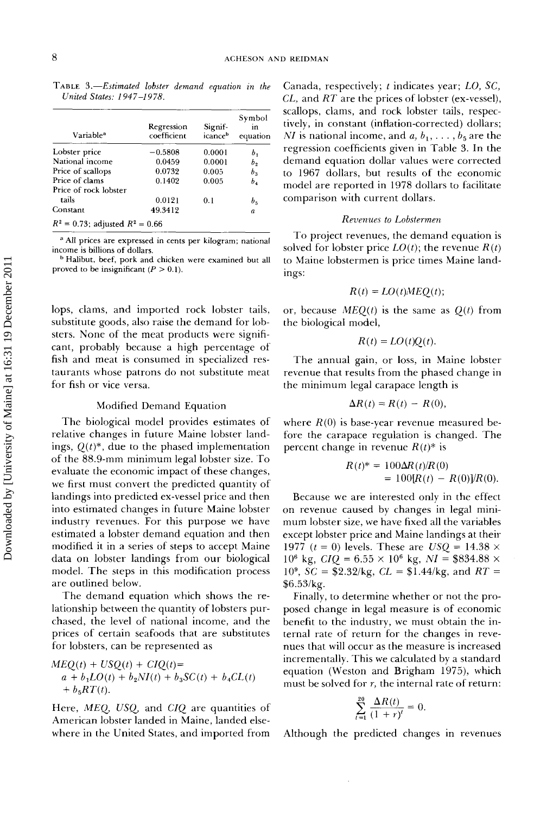TABLE 3.-Estimated lobster demand equation in the United States: 1947-1978.

| Variable <sup>a</sup> | Regression<br>coefficient | Signif-<br>icance <sup>b</sup> | Symbol<br>in<br>equation |
|-----------------------|---------------------------|--------------------------------|--------------------------|
| Lobster price         | $-0.5808$                 | 0.0001                         | Ь,                       |
| National income       | 0.0459                    | 0.0001                         | Ь,                       |
| Price of scallops     | 0.0732                    | 0.005                          | b,                       |
| Price of clams        | 0.1402                    | 0.005                          | b,                       |
| Price of rock lobster |                           |                                |                          |
| tails                 | 0.0121                    | 0.1                            | $b_{5}$                  |
| Constant              | 49.3412                   |                                | a                        |

**• All prices are expressed in cents per kilogram; national income is billions of dollars.** 

**b Halibut, beef, pork and chicken were examined but all**  proved to be insignificant  $(P > 0.1)$ .

**lops, clams, and imported rock lobster tails, substitute goods, also raise the demand for lobsters. None of the meat products were significant, probably because a high percentage of fish and meat is consumed in specialized restaurants whose patrons do not substitute meat for fish or vice versa.** 

#### **Modified Demand Equation**

**The biological model provides estimates of relative changes in future Maine lobster landings, Q(t)\*, due to the phased implementation of the 88.9-mm minimum legal lobster size. To evaluate the economic impact of these changes, we first must convert the predicted quantity of landings into predicted ex-vessel price and then into estimated changes in future Maine lobster industry revenues. For this purpose we have estimated a lobster demand equation and then modified it in a series of steps to accept Maine data on lobster landings from our biological model. The steps in this modification process are outlined below.** 

**The demand equation which shows the relationship between the quantity of lobsters purchased, the level of national income, and the prices of certain seafoods that are substitutes for lobsters, can be represented as** 

$$
MEQ(t) + USQ(t) + CIQ(t) =
$$
  
\n
$$
a + b_1LO(t) + b_2NI(t) + b_3SC(t) + b_4CL(t)
$$
  
\n
$$
+ b_5RT(t).
$$

**Here, MEQ, USQ, and CIQ are quantities of American lobster landed in Maine, landed elsewhere in the United States, and imported from** 

**Canada, respectively; t indicates year; LO, SC, CL, and RT are the prices of lobster (ex-vessel), scallops, clams, and rock lobster tails, respectively, in constant (inflation-corrected) dollars;**  *NI* is national income, and  $a, b_1, \ldots, b_5$  are the **regression coefficients given in Table 3. In the demand equation dollar values were corrected to 1967 dollars, but results of the economic model are reported in 1978 dollars to facilitate comparison with current dollars.** 

#### **Revenues to Lobstermen**

**To project revenues, the demand equation is**  solved for lobster price  $LO(t)$ ; the revenue  $R(t)$ **to Maine lobstermen is price times Maine landings:** 

$$
R(t) = LO(t)MEQ(t);
$$

or, because  $MEQ(t)$  is the same as  $Q(t)$  from **the biological model,** 

$$
R(t) = LO(t)Q(t).
$$

**The annual gain, or loss, in Maine lobster revenue that results from the phased change in the minimum legal carapace length is** 

$$
\Delta R(t) = R(t) - R(0),
$$

**where R(O) is base-year revenue measured be**fore the carapace regulation is changed. The **percent change in revenue**  $R(t)$ **<sup>\*</sup> is** 

$$
R(t)^* = 100\Delta R(t)/R(0)
$$
  
= 100[R(t) - R(0)]/R(0).

**Because we are interested only in the effect on revenue caused by changes in legal minimum lobster size, we have fixed all the variables except lobster price and Maine landings at their 1977** ( $t = 0$ ) levels. These are  $USQ = 14.38 \times$  $10^6$  kg,  $CIQ = 6.55 \times 10^6$  kg,  $NI = $834.88 \times$  $10^9$ ,  $SC = $2.32/kg$ ,  $CL = $1.44/kg$ , and  $RT =$ **\$6.53/kg.** 

**Finally, to determine whether or not the proposed change in legal measure is of economic benefit to the industry, we must obtain the internal rate of return for the changes in revenues that will occur as the measure is increased incrementally. This we calculated by a standard equation (Weston and Brigham 1975), which must be solved for r, the internal rate of return:** 

$$
\sum_{t=1}^{20} \frac{\Delta R(t)}{(1+r)^t} = 0.
$$

**Although the predicted changes in revenues**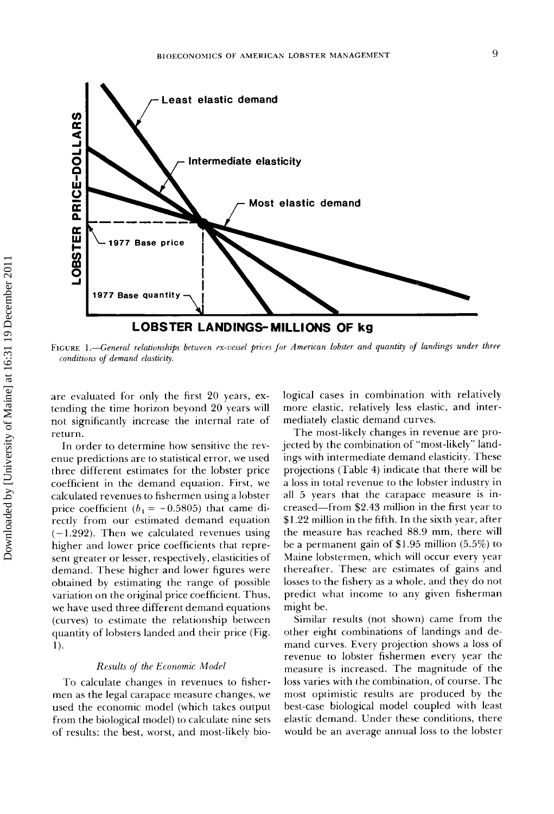

FIGURE 1.**-General relationships between ex-vessel prices** for American lobster and quantity of landings under three conditions of demand elasticity.

**are evaluated for only the first 20 years, extending the time horizon beyond 20 years will not significantly increase the internal rate of return.** 

**In order to determine how sensitive the revenue predictions are to statistical error, we used three different estimates for the lobster price coefficient in the demand equation. First, we calculated revenues to fishermen using a lobster**  price coefficient  $(b_1 = -0.5805)$  that came di**rectly from our estimated demand equation (-1.292). Then we calculated revenues using higher and lower price coefficients that represent greater or lesser, respectively, elasticities of demand. These higher and lower figures were obtained by estimating the range of possible variation on the original price coefficient. Thus, we have used three different demand equations (curves) to estimate the relationship between quantity of lobsters landed and their price (Fig. 1).** 

#### **Results of the Economic Model**

**To calculate changes in revenues to fishermen as the legal carapace measure changes, we used the economic model (which takes output from the biological model) to calculate nine sets**  of results: the best, worst, and most-likely bio**logical cases in combination with relatively more elastic, relatively less elastic, and intermediately elastic demand curves.** 

**The most-likely changes in revenue are projected by the combination of "most-likely" landings with intermediate demand elasticity. These projections (Table 4) indicate that there will be a loss in total revenue to the lobster industry in all 5 years that the carapace measure is increased--from \$2.43 million in the first year to \$1.22 million in the fifth. In the sixth year, after**  the measure has reached 88.9 mm, there will **be a permanent gain of \$1.95 million (5.5%) to Maine lobstermen, which will occur every year thereafter. These are estimates of gains and losses to the fishery as a whole, and they do not predict what income to any given fisherman might be.** 

**Similar results (not shown) came from the other eight combinations of landings and demand curves. Every projection shows a loss of revenue to lobster fishermen every year the measure is increased. The magnitude of the loss varies with the combination, of course. The most optimistic results are produced by the best-case biological model coupled with least elastic demand. Under these conditions, there would be an average annual loss to the lobster**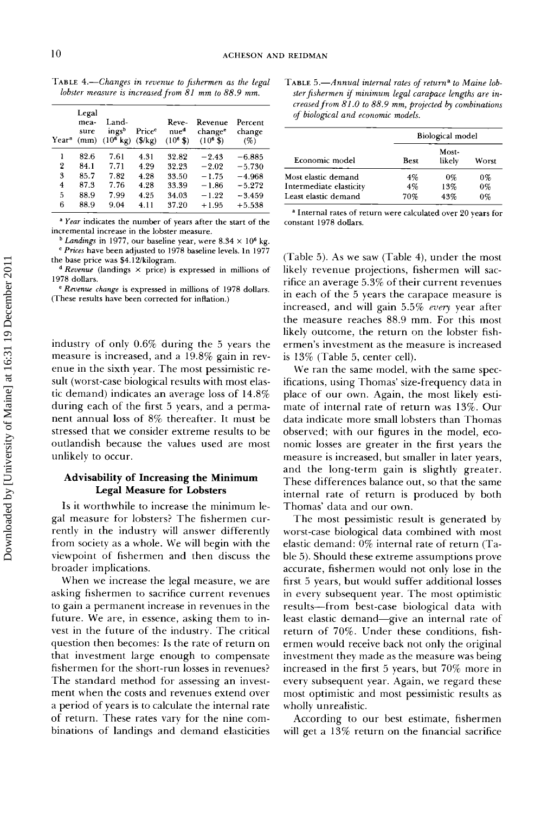TABLE 4.-Changes in revenue to fishermen as the legal lobster measure is increased from 81 mm to 88.9 mm.

| Year <sup>a</sup> | Legal<br>mea-<br>sure<br>(mm) | Land-<br>ingsb<br>$(10^6 \text{ kg})$ | Price <sup>c</sup><br>$(\frac{6}{k})$ | Reve-<br>nue <sup>d</sup><br>$(10^6 S)$ | Revenue<br>change <sup>e</sup><br>$(10^8 \text{ } \frac{\pi}{3})$ | Percent<br>change<br>(%) |
|-------------------|-------------------------------|---------------------------------------|---------------------------------------|-----------------------------------------|-------------------------------------------------------------------|--------------------------|
| ı                 | 82.6                          | 7.61                                  | 4.31                                  | 32.82                                   | $-2.43$                                                           | $-6.885$                 |
| 2                 | 84.1                          | 7.71                                  | 4.29                                  | 32.23                                   | $-2.02$                                                           | $-5.730$                 |
| 3                 | 85.7                          | 7.82                                  | 4.28                                  | 33.50                                   | $-1.75$                                                           | $-4.968$                 |
| 4                 | 87.3                          | 7.76                                  | 4.28                                  | 33.39                                   | $-1.86$                                                           | $-5.272$                 |
| 5                 | 88.9                          | 7.99                                  | 4.25                                  | 34.03                                   | $-1.22$                                                           | $-3.459$                 |
| 6                 | 88.9                          | 9.04                                  | 4.11                                  | 37.20                                   | $+1.95$                                                           | $+5.538$                 |

**a Year indicates the number of years after the start of the incremental increase in the lobster measure.** 

 $^{\rm b}$  *Landings* in 1977, our baseline year, were 8.34  $\times$  10<sup>6</sup> kg. **½ Prices have been adjusted to 1978 baseline levels. In 1977 the base price was \$4.12/kilogram.** 

**• Revenue (landings x price) is expressed in millions of 1978 dollars.** 

**e Revenue change is expressed in millions of 1978 dollars. l?hese results have been corrected for inflation.)** 

**industry of only 0.6% during the 5 years the measure is increased, and a 19.8% gain in revenue in the sixth year. The most pessimistic resuit (worst-case biological results with most elastic demand) indicates an average loss of 14.8% during each of the first 5 years, and a permanent annual loss of 8% thereafter. It must be stressed that we consider extreme results to be outlandish because the values used are most unlikely to occur.** 

#### **Advisability of Increasing the Minimum Legal Measure for Lobsters**

**Is it worthwhile to increase the minimum legal measure for lobsters? The fishermen currently in the industry will answer differently from society as a whole. We will begin with the viewpoint of fishermen and then discuss the broader implications.** 

**When we increase the legal measure, we are asking fishermen to sacrifice current revenues to gain a permanent increase in revenues in the future. We are, in essence, asking them to invest in the future of the industry. The critical question then becomes: Is the rate of return on that investment large enough to compensate fishermen for the short-run losses in revenues? The standard method for assessing an investment when the costs and revenues extend over a period of years is to calculate the internal rate of return. These rates vary for the nine combinations of landings and demand elasticities**  TABLE 5.—Annual internal rates of return<sup>a</sup> to Maine lobster fishermen if minimum legal carapace lengths are in**creased from 81.0 to 88.9 ram, projected by combinations of biological and economic models.** 

|                         | <b>Biological model</b> |                 |       |  |
|-------------------------|-------------------------|-----------------|-------|--|
| Economic model          | Best                    | Most-<br>likely | Worst |  |
| Most elastic demand     | 4%                      | $0\%$           | $0\%$ |  |
| Intermediate elasticity | 4%                      | 13%             | $0\%$ |  |
| Least elastic demand    | 70%                     | 43%             | $0\%$ |  |

**a Internal rates of return were calculated over 20 years for constant 1978 dollars.** 

**(Table 5). As we saw (Table 4), under the most likely revenue projections, fishermen will sacrifice an average 5.3% of their current revenues in each of the 5 years the carapace measure is increased, and will gain 5.5% every year after the measure reaches 88.9 min. For this most likely outcome, the return on the lobster fishermen's investment as the measure is increased is 13% (Table 5, center cell).** 

**We ran the same model, with the same specifications, using Thomas' size-frequency data in place of our own. Again, the most likely estimate of internal rate of return was 13%. Our data indicate more small lobsters than Thomas observed; with our figures in the model, economic losses are greater in the first years the measure is increased, but smaller in later years, and the long-term gain is slightly greater. These differences balance out, so that the same internal rate of return is produced by both Thomas' data and our own.** 

**The most pessimistic result is generated by worst-case biological data combined with most elastic demand: 0% internal rate of return (Table 5). Should these extreme assumptions prove accurate, fishermen would not only lose in the**  first 5 years, but would suffer additional losses **in every subsequent year. The most optimistic results--from best-case biological data with least elastic demand--give an internal rate of return of 70%. Under these conditions, fishermen would receive back not only the original investment they made as the measure was being increased in the first 5 years, but 70% more in every subsequent year. Again, we regard these most optimistic and most pessimistic results as wholly unrealistic.** 

**According to our best estimate, fishermen will get a 13% return on the financial sacrifice**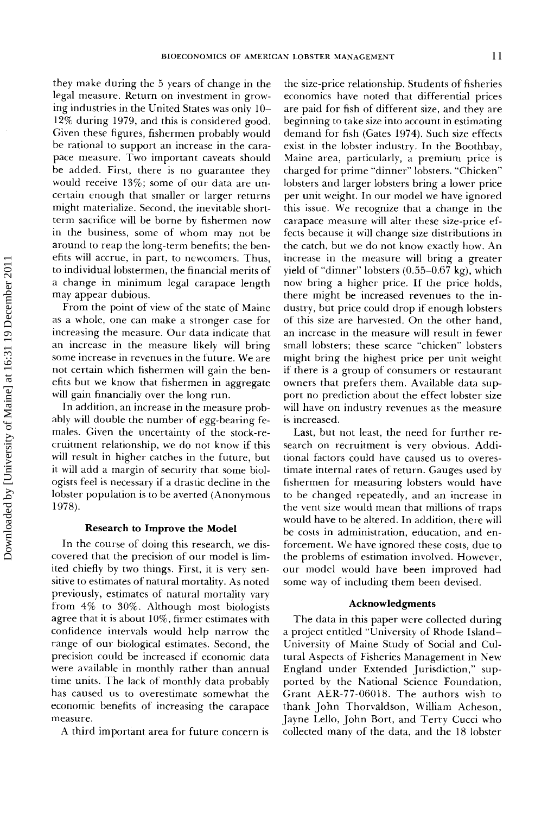**they make during the 5 years of change in the legal measure. Return on investment in growing industries in the United States was only 10- 12% during 1979, and this is considered good. Given these figures, fishermen probably would be rational to support an increase in the carapace measure. Two important caveats should be added. First, there is no guarantee they would receive 13%; some of our data are uncertain enough that smaller or larger returns might materialize. Second, the inevitable shortterm sacrifice will be borne by fishermen now in the business, some of whom may not be around to reap the long-term benefits; the benefits will accrue, in part, to newcomers. Thus, to individual lobstermen, the financial merits of**  a change in minimum legal carapace length **may appear dubious.** 

**From the point of view of the state of Maine as a whole, one can make a stronger case for increasing the measure. Our data indicate that an increase in the measure likely will bring some increase in revenues in the future. We are not certain which fishermen will gain the benefits but we know that fishermen in aggregate will gain financially over the long run.** 

**In addition, an increase in the measure probably will double the number of egg-bearing females. Given the uncertainty of the stock-recruitment relationship, we do not know if this will result in higher catches in the future, but**  it will add a margin of security that some biol**ogists feel is necessary if a drastic decline in the lobster population is to be averted (Anonymous 1978).** 

#### **Research to Improve the Model**

**In the course of doing this research, we discovered that the precision of our model is limited chiefly by two things. First, it is very sensitive to estimates of natural mortality. As noted previously, estimates of natural mortality vary from 4% to 30%. Although most biologists agree that it is about 10%, firmer estimates with confidence intervals would help narrow the range of our biological estimates. Second, the precision could be increased if economic data were available in monthly rather than annual time units. The lack of monthly data probably has caused us to overestimate somewhat the economic benefits of increasing the carapace measure.** 

**A third important area for future concern is** 

**the size-price relationship. Students of fisheries economics have noted that differential prices are paid for fish of different size, and they are beginning to take size into account in estimating demand for fish (Gates 1974). Such size effects exist in the lobster industry. In the Boothbay, Maine area, particularly, a premium price is charged for prime "dinner" lobsters. "Chicken" lobsters and larger lobsters bring a lower price per unit weight. In our model we have ignored this issue. We recognize that a change in the carapace measure will alter these size-price effects because it will change size distributions in the catch, but we do not know exactly how. An increase in the measure will bring a greater yield of "dinner" lobsters (0.55-0.67 kg), which now bring a higher price. If the price holds, there might be increased revenues to the industry, but price could drop if enough lobsters of this size are harvested. On the other hand, an increase in the measure will result in fewer small lobsters; these scarce "chicken" lobsters might bring the highest price per unit weight if there is a group of consumers or restaurant owners that prefers them. Available data support no prediction about the effect lobster size will have on industry revenues as the measure is increased.** 

**Last, but not least, the need for further research on recruitment is very obvious. Additional factors could have caused us to overestimate internal rates of return. Gauges used by fishermen for measuring lobsters would have to be changed repeatedly, and an increase in the vent size would mean that millions of traps would have to be altered. In addition, there will be costs in administration, education, and enforcement. We have ignored these costs, due to the problems of estimation involved. However, our model would have been improved had some way of including them been devised.** 

#### **Acknowledgments**

**The data in this paper were collected during a project entitled "University of Rhode Island-University of Maine Study of Social and Cultural Aspects of Fisheries Management in New England under Extended Jurisdiction," supported by the National Science Foundation, Grant AER-77-06018. The authors wish to thank John Thorvaldson, William Acheson, Jayne Lello, John Bort, and Terry Cucci who collected many of the data, and the 18 lobster**